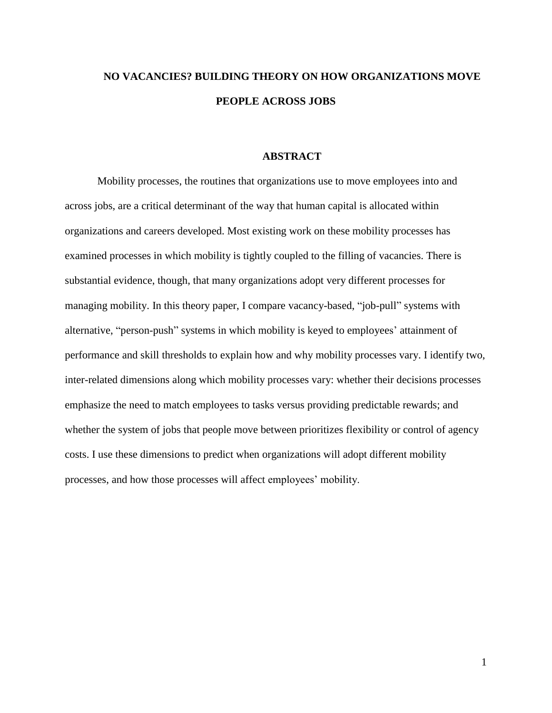# **NO VACANCIES? BUILDING THEORY ON HOW ORGANIZATIONS MOVE PEOPLE ACROSS JOBS**

#### **ABSTRACT**

Mobility processes, the routines that organizations use to move employees into and across jobs, are a critical determinant of the way that human capital is allocated within organizations and careers developed. Most existing work on these mobility processes has examined processes in which mobility is tightly coupled to the filling of vacancies. There is substantial evidence, though, that many organizations adopt very different processes for managing mobility. In this theory paper, I compare vacancy-based, "job-pull" systems with alternative, "person-push" systems in which mobility is keyed to employees' attainment of performance and skill thresholds to explain how and why mobility processes vary. I identify two, inter-related dimensions along which mobility processes vary: whether their decisions processes emphasize the need to match employees to tasks versus providing predictable rewards; and whether the system of jobs that people move between prioritizes flexibility or control of agency costs. I use these dimensions to predict when organizations will adopt different mobility processes, and how those processes will affect employees' mobility.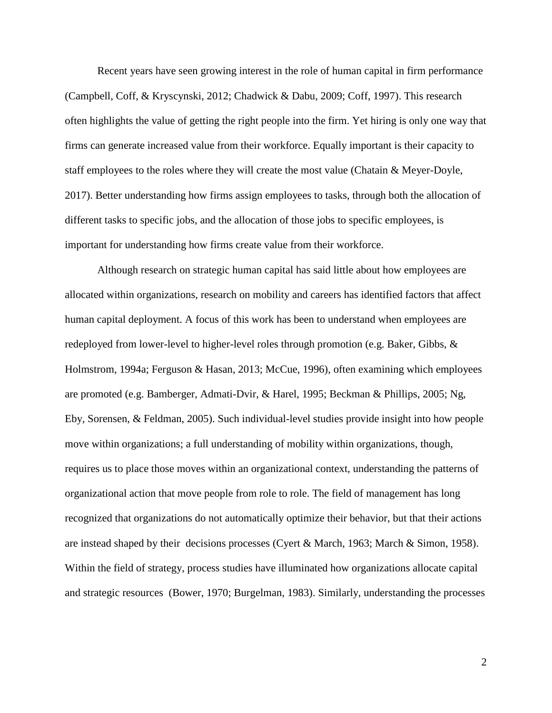Recent years have seen growing interest in the role of human capital in firm performance (Campbell, Coff, & Kryscynski, 2012; Chadwick & Dabu, 2009; Coff, 1997). This research often highlights the value of getting the right people into the firm. Yet hiring is only one way that firms can generate increased value from their workforce. Equally important is their capacity to staff employees to the roles where they will create the most value (Chatain & Meyer-Doyle, 2017). Better understanding how firms assign employees to tasks, through both the allocation of different tasks to specific jobs, and the allocation of those jobs to specific employees, is important for understanding how firms create value from their workforce.

Although research on strategic human capital has said little about how employees are allocated within organizations, research on mobility and careers has identified factors that affect human capital deployment. A focus of this work has been to understand when employees are redeployed from lower-level to higher-level roles through promotion (e.g. Baker, Gibbs, & Holmstrom, 1994a; Ferguson & Hasan, 2013; McCue, 1996), often examining which employees are promoted (e.g. Bamberger, Admati-Dvir, & Harel, 1995; Beckman & Phillips, 2005; Ng, Eby, Sorensen, & Feldman, 2005). Such individual-level studies provide insight into how people move within organizations; a full understanding of mobility within organizations, though, requires us to place those moves within an organizational context, understanding the patterns of organizational action that move people from role to role. The field of management has long recognized that organizations do not automatically optimize their behavior, but that their actions are instead shaped by their decisions processes (Cyert & March, 1963; March & Simon, 1958). Within the field of strategy, process studies have illuminated how organizations allocate capital and strategic resources (Bower, 1970; Burgelman, 1983). Similarly, understanding the processes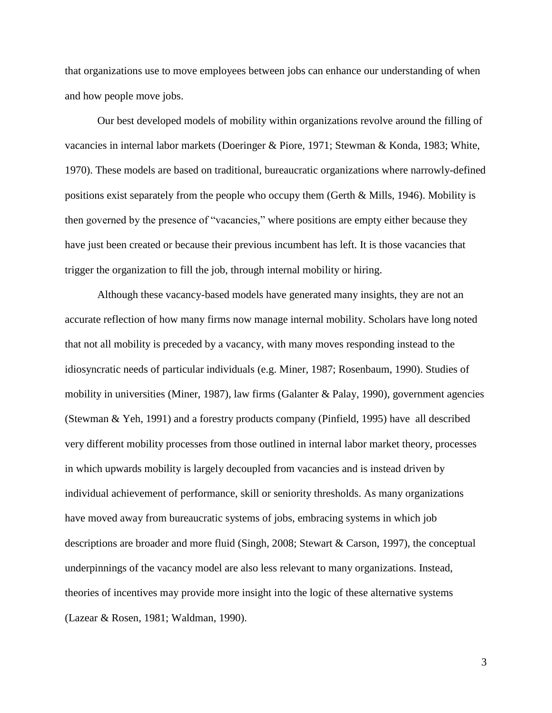that organizations use to move employees between jobs can enhance our understanding of when and how people move jobs.

Our best developed models of mobility within organizations revolve around the filling of vacancies in internal labor markets (Doeringer & Piore, 1971; Stewman & Konda, 1983; White, 1970). These models are based on traditional, bureaucratic organizations where narrowly-defined positions exist separately from the people who occupy them (Gerth & Mills, 1946). Mobility is then governed by the presence of "vacancies," where positions are empty either because they have just been created or because their previous incumbent has left. It is those vacancies that trigger the organization to fill the job, through internal mobility or hiring.

Although these vacancy-based models have generated many insights, they are not an accurate reflection of how many firms now manage internal mobility. Scholars have long noted that not all mobility is preceded by a vacancy, with many moves responding instead to the idiosyncratic needs of particular individuals (e.g. Miner, 1987; Rosenbaum, 1990). Studies of mobility in universities (Miner, 1987), law firms (Galanter & Palay, 1990), government agencies (Stewman & Yeh, 1991) and a forestry products company (Pinfield, 1995) have all described very different mobility processes from those outlined in internal labor market theory, processes in which upwards mobility is largely decoupled from vacancies and is instead driven by individual achievement of performance, skill or seniority thresholds. As many organizations have moved away from bureaucratic systems of jobs, embracing systems in which job descriptions are broader and more fluid (Singh, 2008; Stewart & Carson, 1997), the conceptual underpinnings of the vacancy model are also less relevant to many organizations. Instead, theories of incentives may provide more insight into the logic of these alternative systems (Lazear & Rosen, 1981; Waldman, 1990).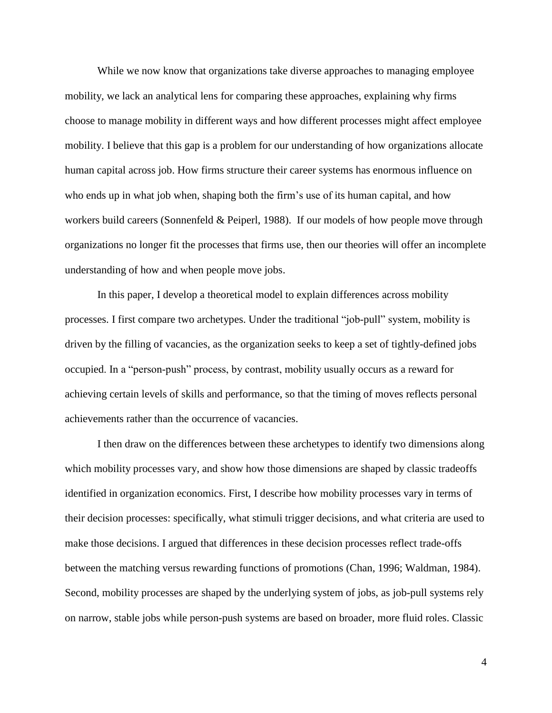While we now know that organizations take diverse approaches to managing employee mobility, we lack an analytical lens for comparing these approaches, explaining why firms choose to manage mobility in different ways and how different processes might affect employee mobility. I believe that this gap is a problem for our understanding of how organizations allocate human capital across job. How firms structure their career systems has enormous influence on who ends up in what job when, shaping both the firm's use of its human capital, and how workers build careers (Sonnenfeld & Peiperl, 1988). If our models of how people move through organizations no longer fit the processes that firms use, then our theories will offer an incomplete understanding of how and when people move jobs.

In this paper, I develop a theoretical model to explain differences across mobility processes. I first compare two archetypes. Under the traditional "job-pull" system, mobility is driven by the filling of vacancies, as the organization seeks to keep a set of tightly-defined jobs occupied. In a "person-push" process, by contrast, mobility usually occurs as a reward for achieving certain levels of skills and performance, so that the timing of moves reflects personal achievements rather than the occurrence of vacancies.

I then draw on the differences between these archetypes to identify two dimensions along which mobility processes vary, and show how those dimensions are shaped by classic tradeoffs identified in organization economics. First, I describe how mobility processes vary in terms of their decision processes: specifically, what stimuli trigger decisions, and what criteria are used to make those decisions. I argued that differences in these decision processes reflect trade-offs between the matching versus rewarding functions of promotions (Chan, 1996; Waldman, 1984). Second, mobility processes are shaped by the underlying system of jobs, as job-pull systems rely on narrow, stable jobs while person-push systems are based on broader, more fluid roles. Classic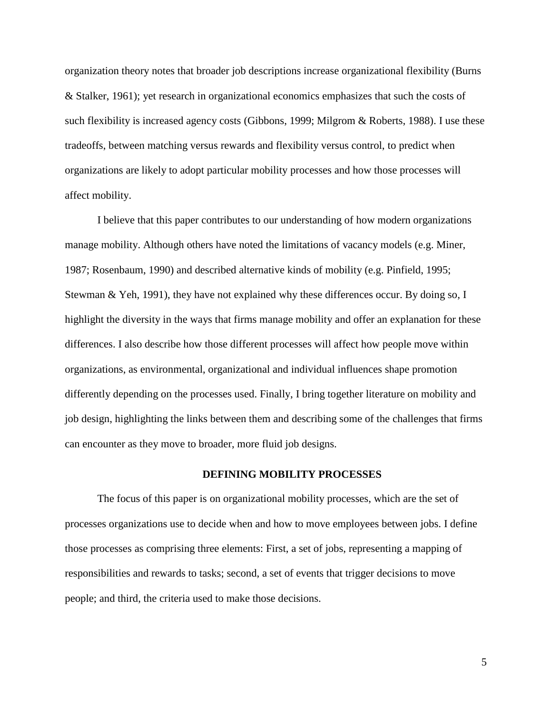organization theory notes that broader job descriptions increase organizational flexibility (Burns & Stalker, 1961); yet research in organizational economics emphasizes that such the costs of such flexibility is increased agency costs (Gibbons, 1999; Milgrom & Roberts, 1988). I use these tradeoffs, between matching versus rewards and flexibility versus control, to predict when organizations are likely to adopt particular mobility processes and how those processes will affect mobility.

I believe that this paper contributes to our understanding of how modern organizations manage mobility. Although others have noted the limitations of vacancy models (e.g. Miner, 1987; Rosenbaum, 1990) and described alternative kinds of mobility (e.g. Pinfield, 1995; Stewman & Yeh, 1991), they have not explained why these differences occur. By doing so, I highlight the diversity in the ways that firms manage mobility and offer an explanation for these differences. I also describe how those different processes will affect how people move within organizations, as environmental, organizational and individual influences shape promotion differently depending on the processes used. Finally, I bring together literature on mobility and job design, highlighting the links between them and describing some of the challenges that firms can encounter as they move to broader, more fluid job designs.

### **DEFINING MOBILITY PROCESSES**

The focus of this paper is on organizational mobility processes, which are the set of processes organizations use to decide when and how to move employees between jobs. I define those processes as comprising three elements: First, a set of jobs, representing a mapping of responsibilities and rewards to tasks; second, a set of events that trigger decisions to move people; and third, the criteria used to make those decisions.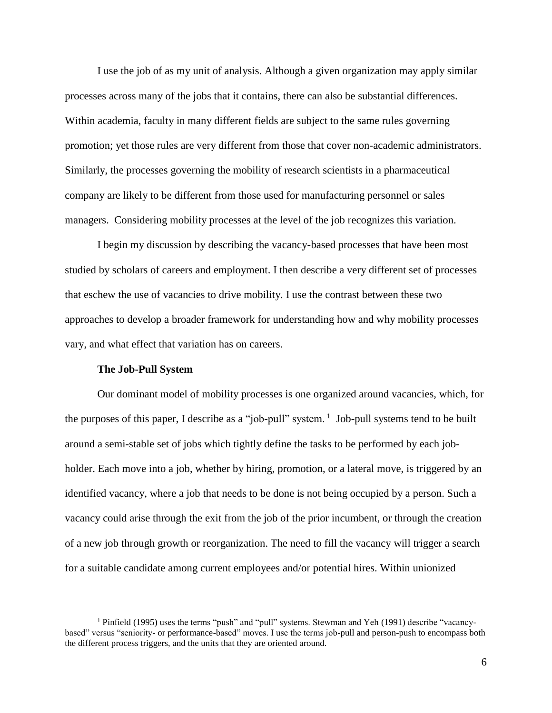I use the job of as my unit of analysis. Although a given organization may apply similar processes across many of the jobs that it contains, there can also be substantial differences. Within academia, faculty in many different fields are subject to the same rules governing promotion; yet those rules are very different from those that cover non-academic administrators. Similarly, the processes governing the mobility of research scientists in a pharmaceutical company are likely to be different from those used for manufacturing personnel or sales managers. Considering mobility processes at the level of the job recognizes this variation.

I begin my discussion by describing the vacancy-based processes that have been most studied by scholars of careers and employment. I then describe a very different set of processes that eschew the use of vacancies to drive mobility. I use the contrast between these two approaches to develop a broader framework for understanding how and why mobility processes vary, and what effect that variation has on careers.

#### **The Job-Pull System**

 $\overline{a}$ 

Our dominant model of mobility processes is one organized around vacancies, which, for the purposes of this paper, I describe as a "job-pull" system.  $\frac{1}{1}$  Job-pull systems tend to be built around a semi-stable set of jobs which tightly define the tasks to be performed by each jobholder. Each move into a job, whether by hiring, promotion, or a lateral move, is triggered by an identified vacancy, where a job that needs to be done is not being occupied by a person. Such a vacancy could arise through the exit from the job of the prior incumbent, or through the creation of a new job through growth or reorganization. The need to fill the vacancy will trigger a search for a suitable candidate among current employees and/or potential hires. Within unionized

<sup>1</sup> Pinfield (1995) uses the terms "push" and "pull" systems. Stewman and Yeh (1991) describe "vacancybased" versus "seniority- or performance-based" moves. I use the terms job-pull and person-push to encompass both the different process triggers, and the units that they are oriented around.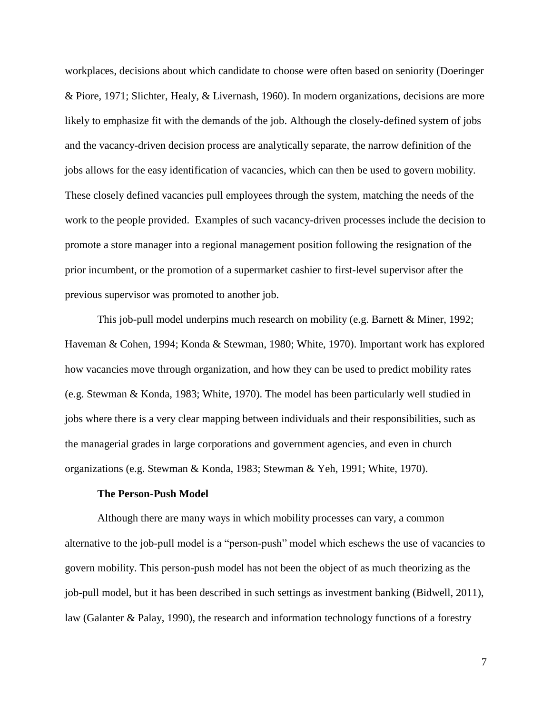workplaces, decisions about which candidate to choose were often based on seniority (Doeringer & Piore, 1971; Slichter, Healy, & Livernash, 1960). In modern organizations, decisions are more likely to emphasize fit with the demands of the job. Although the closely-defined system of jobs and the vacancy-driven decision process are analytically separate, the narrow definition of the jobs allows for the easy identification of vacancies, which can then be used to govern mobility. These closely defined vacancies pull employees through the system, matching the needs of the work to the people provided. Examples of such vacancy-driven processes include the decision to promote a store manager into a regional management position following the resignation of the prior incumbent, or the promotion of a supermarket cashier to first-level supervisor after the previous supervisor was promoted to another job.

This job-pull model underpins much research on mobility (e.g. Barnett & Miner, 1992; Haveman & Cohen, 1994; Konda & Stewman, 1980; White, 1970). Important work has explored how vacancies move through organization, and how they can be used to predict mobility rates (e.g. Stewman & Konda, 1983; White, 1970). The model has been particularly well studied in jobs where there is a very clear mapping between individuals and their responsibilities, such as the managerial grades in large corporations and government agencies, and even in church organizations (e.g. Stewman & Konda, 1983; Stewman & Yeh, 1991; White, 1970).

# **The Person-Push Model**

Although there are many ways in which mobility processes can vary, a common alternative to the job-pull model is a "person-push" model which eschews the use of vacancies to govern mobility. This person-push model has not been the object of as much theorizing as the job-pull model, but it has been described in such settings as investment banking (Bidwell, 2011), law (Galanter & Palay, 1990), the research and information technology functions of a forestry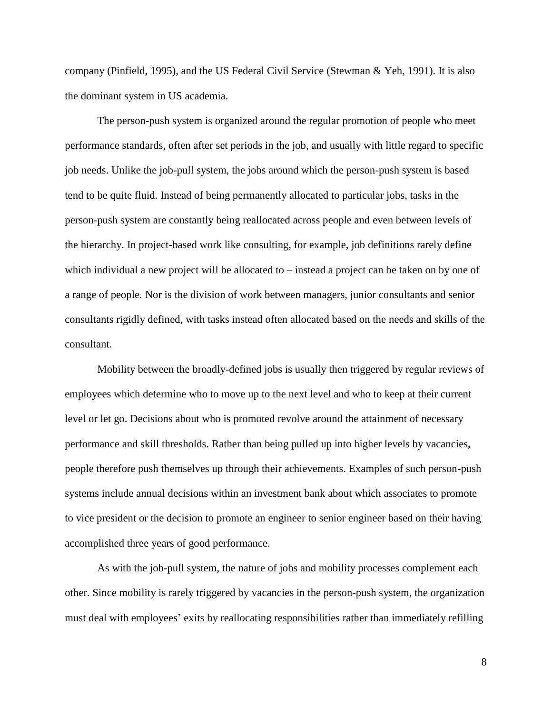company (Pinfield, 1995), and the US Federal Civil Service (Stewman & Yeh, 1991). It is also the dominant system in US academia.

The person-push system is organized around the regular promotion of people who meet performance standards, often after set periods in the job, and usually with little regard to specific job needs. Unlike the job-pull system, the jobs around which the person-push system is based tend to be quite fluid. Instead of being permanently allocated to particular jobs, tasks in the person-push system are constantly being reallocated across people and even between levels of the hierarchy. In project-based work like consulting, for example, job definitions rarely define which individual a new project will be allocated to – instead a project can be taken on by one of a range of people. Nor is the division of work between managers, junior consultants and senior consultants rigidly defined, with tasks instead often allocated based on the needs and skills of the consultant.

Mobility between the broadly-defined jobs is usually then triggered by regular reviews of employees which determine who to move up to the next level and who to keep at their current level or let go. Decisions about who is promoted revolve around the attainment of necessary performance and skill thresholds. Rather than being pulled up into higher levels by vacancies, people therefore push themselves up through their achievements. Examples of such person-push systems include annual decisions within an investment bank about which associates to promote to vice president or the decision to promote an engineer to senior engineer based on their having accomplished three years of good performance.

As with the job-pull system, the nature of jobs and mobility processes complement each other. Since mobility is rarely triggered by vacancies in the person-push system, the organization must deal with employees' exits by reallocating responsibilities rather than immediately refilling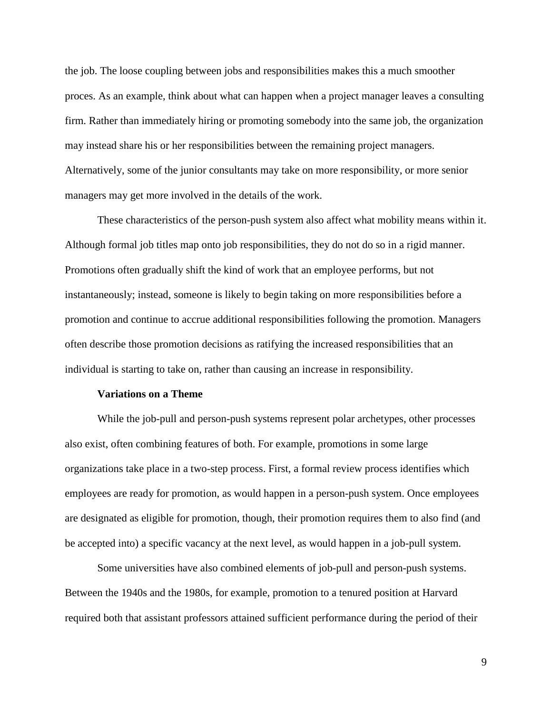the job. The loose coupling between jobs and responsibilities makes this a much smoother proces. As an example, think about what can happen when a project manager leaves a consulting firm. Rather than immediately hiring or promoting somebody into the same job, the organization may instead share his or her responsibilities between the remaining project managers. Alternatively, some of the junior consultants may take on more responsibility, or more senior managers may get more involved in the details of the work.

These characteristics of the person-push system also affect what mobility means within it. Although formal job titles map onto job responsibilities, they do not do so in a rigid manner. Promotions often gradually shift the kind of work that an employee performs, but not instantaneously; instead, someone is likely to begin taking on more responsibilities before a promotion and continue to accrue additional responsibilities following the promotion. Managers often describe those promotion decisions as ratifying the increased responsibilities that an individual is starting to take on, rather than causing an increase in responsibility.

# **Variations on a Theme**

While the job-pull and person-push systems represent polar archetypes, other processes also exist, often combining features of both. For example, promotions in some large organizations take place in a two-step process. First, a formal review process identifies which employees are ready for promotion, as would happen in a person-push system. Once employees are designated as eligible for promotion, though, their promotion requires them to also find (and be accepted into) a specific vacancy at the next level, as would happen in a job-pull system.

Some universities have also combined elements of job-pull and person-push systems. Between the 1940s and the 1980s, for example, promotion to a tenured position at Harvard required both that assistant professors attained sufficient performance during the period of their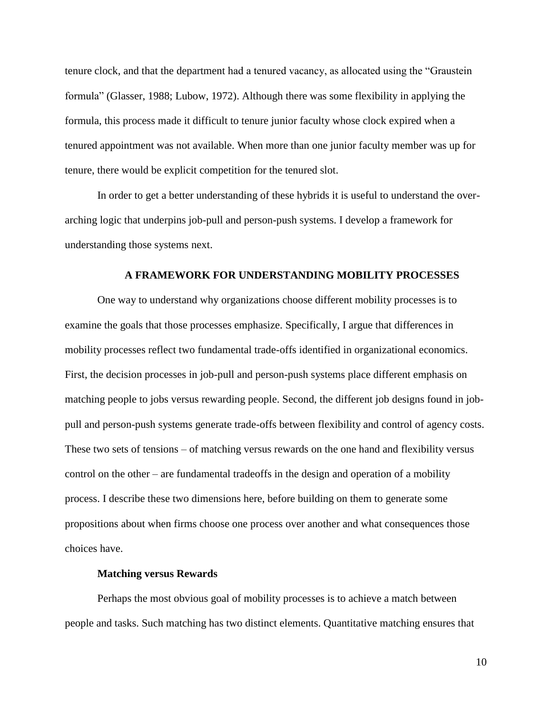tenure clock, and that the department had a tenured vacancy, as allocated using the "Graustein formula" (Glasser, 1988; Lubow, 1972). Although there was some flexibility in applying the formula, this process made it difficult to tenure junior faculty whose clock expired when a tenured appointment was not available. When more than one junior faculty member was up for tenure, there would be explicit competition for the tenured slot.

In order to get a better understanding of these hybrids it is useful to understand the overarching logic that underpins job-pull and person-push systems. I develop a framework for understanding those systems next.

### **A FRAMEWORK FOR UNDERSTANDING MOBILITY PROCESSES**

One way to understand why organizations choose different mobility processes is to examine the goals that those processes emphasize. Specifically, I argue that differences in mobility processes reflect two fundamental trade-offs identified in organizational economics. First, the decision processes in job-pull and person-push systems place different emphasis on matching people to jobs versus rewarding people. Second, the different job designs found in jobpull and person-push systems generate trade-offs between flexibility and control of agency costs. These two sets of tensions – of matching versus rewards on the one hand and flexibility versus control on the other – are fundamental tradeoffs in the design and operation of a mobility process. I describe these two dimensions here, before building on them to generate some propositions about when firms choose one process over another and what consequences those choices have.

# **Matching versus Rewards**

Perhaps the most obvious goal of mobility processes is to achieve a match between people and tasks. Such matching has two distinct elements. Quantitative matching ensures that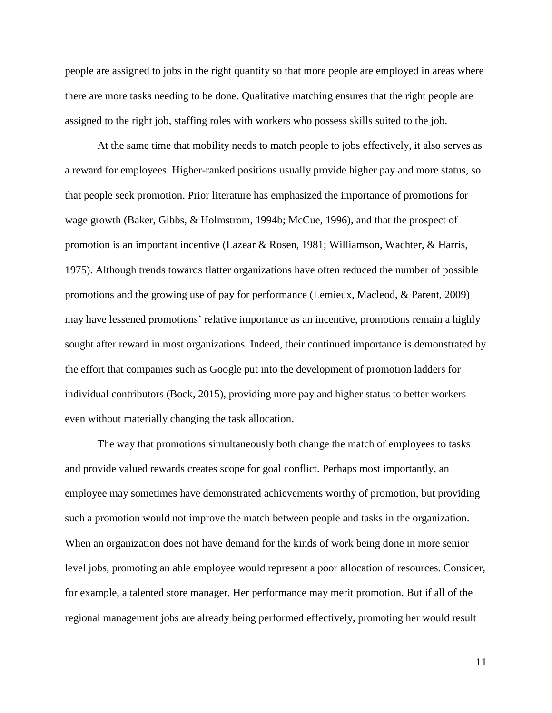people are assigned to jobs in the right quantity so that more people are employed in areas where there are more tasks needing to be done. Qualitative matching ensures that the right people are assigned to the right job, staffing roles with workers who possess skills suited to the job.

At the same time that mobility needs to match people to jobs effectively, it also serves as a reward for employees. Higher-ranked positions usually provide higher pay and more status, so that people seek promotion. Prior literature has emphasized the importance of promotions for wage growth (Baker, Gibbs, & Holmstrom, 1994b; McCue, 1996), and that the prospect of promotion is an important incentive (Lazear & Rosen, 1981; Williamson, Wachter, & Harris, 1975). Although trends towards flatter organizations have often reduced the number of possible promotions and the growing use of pay for performance (Lemieux, Macleod, & Parent, 2009) may have lessened promotions' relative importance as an incentive, promotions remain a highly sought after reward in most organizations. Indeed, their continued importance is demonstrated by the effort that companies such as Google put into the development of promotion ladders for individual contributors (Bock, 2015), providing more pay and higher status to better workers even without materially changing the task allocation.

The way that promotions simultaneously both change the match of employees to tasks and provide valued rewards creates scope for goal conflict. Perhaps most importantly, an employee may sometimes have demonstrated achievements worthy of promotion, but providing such a promotion would not improve the match between people and tasks in the organization. When an organization does not have demand for the kinds of work being done in more senior level jobs, promoting an able employee would represent a poor allocation of resources. Consider, for example, a talented store manager. Her performance may merit promotion. But if all of the regional management jobs are already being performed effectively, promoting her would result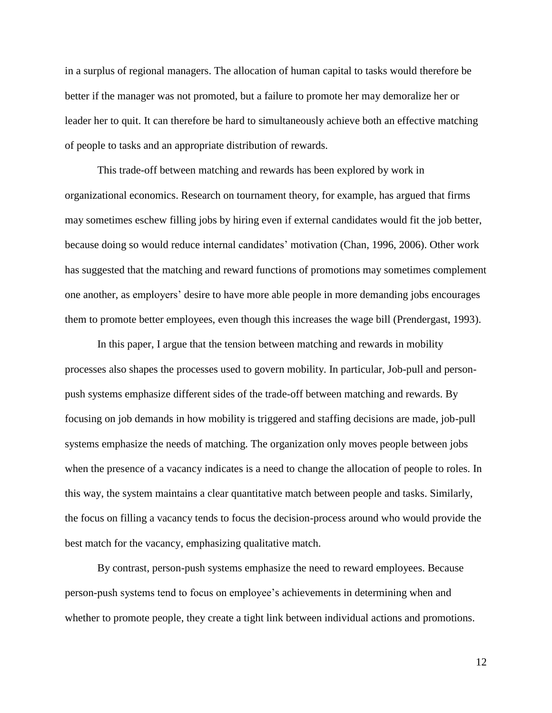in a surplus of regional managers. The allocation of human capital to tasks would therefore be better if the manager was not promoted, but a failure to promote her may demoralize her or leader her to quit. It can therefore be hard to simultaneously achieve both an effective matching of people to tasks and an appropriate distribution of rewards.

This trade-off between matching and rewards has been explored by work in organizational economics. Research on tournament theory, for example, has argued that firms may sometimes eschew filling jobs by hiring even if external candidates would fit the job better, because doing so would reduce internal candidates' motivation (Chan, 1996, 2006). Other work has suggested that the matching and reward functions of promotions may sometimes complement one another, as employers' desire to have more able people in more demanding jobs encourages them to promote better employees, even though this increases the wage bill (Prendergast, 1993).

In this paper, I argue that the tension between matching and rewards in mobility processes also shapes the processes used to govern mobility. In particular, Job-pull and personpush systems emphasize different sides of the trade-off between matching and rewards. By focusing on job demands in how mobility is triggered and staffing decisions are made, job-pull systems emphasize the needs of matching. The organization only moves people between jobs when the presence of a vacancy indicates is a need to change the allocation of people to roles. In this way, the system maintains a clear quantitative match between people and tasks. Similarly, the focus on filling a vacancy tends to focus the decision-process around who would provide the best match for the vacancy, emphasizing qualitative match.

By contrast, person-push systems emphasize the need to reward employees. Because person-push systems tend to focus on employee's achievements in determining when and whether to promote people, they create a tight link between individual actions and promotions.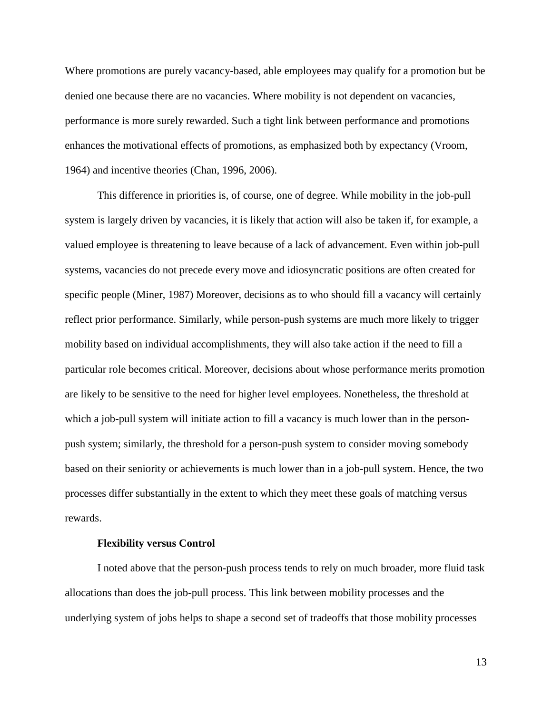Where promotions are purely vacancy-based, able employees may qualify for a promotion but be denied one because there are no vacancies. Where mobility is not dependent on vacancies, performance is more surely rewarded. Such a tight link between performance and promotions enhances the motivational effects of promotions, as emphasized both by expectancy (Vroom, 1964) and incentive theories (Chan, 1996, 2006).

This difference in priorities is, of course, one of degree. While mobility in the job-pull system is largely driven by vacancies, it is likely that action will also be taken if, for example, a valued employee is threatening to leave because of a lack of advancement. Even within job-pull systems, vacancies do not precede every move and idiosyncratic positions are often created for specific people (Miner, 1987) Moreover, decisions as to who should fill a vacancy will certainly reflect prior performance. Similarly, while person-push systems are much more likely to trigger mobility based on individual accomplishments, they will also take action if the need to fill a particular role becomes critical. Moreover, decisions about whose performance merits promotion are likely to be sensitive to the need for higher level employees. Nonetheless, the threshold at which a job-pull system will initiate action to fill a vacancy is much lower than in the personpush system; similarly, the threshold for a person-push system to consider moving somebody based on their seniority or achievements is much lower than in a job-pull system. Hence, the two processes differ substantially in the extent to which they meet these goals of matching versus rewards.

# **Flexibility versus Control**

I noted above that the person-push process tends to rely on much broader, more fluid task allocations than does the job-pull process. This link between mobility processes and the underlying system of jobs helps to shape a second set of tradeoffs that those mobility processes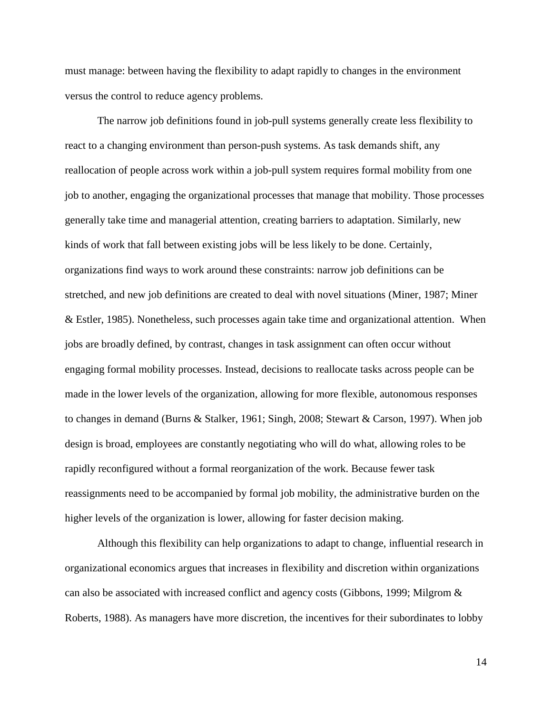must manage: between having the flexibility to adapt rapidly to changes in the environment versus the control to reduce agency problems.

The narrow job definitions found in job-pull systems generally create less flexibility to react to a changing environment than person-push systems. As task demands shift, any reallocation of people across work within a job-pull system requires formal mobility from one job to another, engaging the organizational processes that manage that mobility. Those processes generally take time and managerial attention, creating barriers to adaptation. Similarly, new kinds of work that fall between existing jobs will be less likely to be done. Certainly, organizations find ways to work around these constraints: narrow job definitions can be stretched, and new job definitions are created to deal with novel situations (Miner, 1987; Miner & Estler, 1985). Nonetheless, such processes again take time and organizational attention. When jobs are broadly defined, by contrast, changes in task assignment can often occur without engaging formal mobility processes. Instead, decisions to reallocate tasks across people can be made in the lower levels of the organization, allowing for more flexible, autonomous responses to changes in demand (Burns & Stalker, 1961; Singh, 2008; Stewart & Carson, 1997). When job design is broad, employees are constantly negotiating who will do what, allowing roles to be rapidly reconfigured without a formal reorganization of the work. Because fewer task reassignments need to be accompanied by formal job mobility, the administrative burden on the higher levels of the organization is lower, allowing for faster decision making.

Although this flexibility can help organizations to adapt to change, influential research in organizational economics argues that increases in flexibility and discretion within organizations can also be associated with increased conflict and agency costs (Gibbons, 1999; Milgrom & Roberts, 1988). As managers have more discretion, the incentives for their subordinates to lobby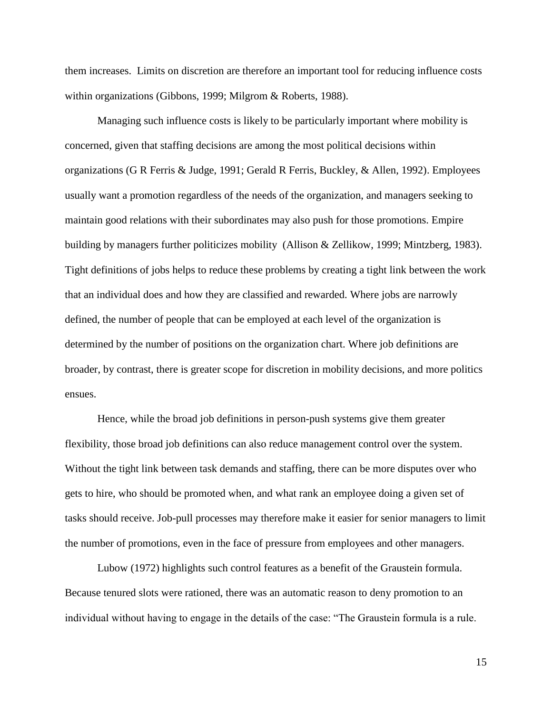them increases. Limits on discretion are therefore an important tool for reducing influence costs within organizations (Gibbons, 1999; Milgrom & Roberts, 1988).

Managing such influence costs is likely to be particularly important where mobility is concerned, given that staffing decisions are among the most political decisions within organizations (G R Ferris & Judge, 1991; Gerald R Ferris, Buckley, & Allen, 1992). Employees usually want a promotion regardless of the needs of the organization, and managers seeking to maintain good relations with their subordinates may also push for those promotions. Empire building by managers further politicizes mobility (Allison & Zellikow, 1999; Mintzberg, 1983). Tight definitions of jobs helps to reduce these problems by creating a tight link between the work that an individual does and how they are classified and rewarded. Where jobs are narrowly defined, the number of people that can be employed at each level of the organization is determined by the number of positions on the organization chart. Where job definitions are broader, by contrast, there is greater scope for discretion in mobility decisions, and more politics ensues.

Hence, while the broad job definitions in person-push systems give them greater flexibility, those broad job definitions can also reduce management control over the system. Without the tight link between task demands and staffing, there can be more disputes over who gets to hire, who should be promoted when, and what rank an employee doing a given set of tasks should receive. Job-pull processes may therefore make it easier for senior managers to limit the number of promotions, even in the face of pressure from employees and other managers.

Lubow (1972) highlights such control features as a benefit of the Graustein formula. Because tenured slots were rationed, there was an automatic reason to deny promotion to an individual without having to engage in the details of the case: "The Graustein formula is a rule.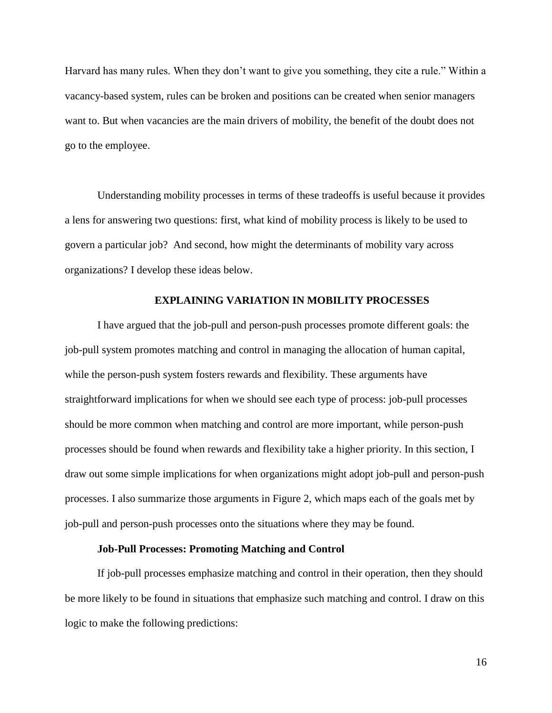Harvard has many rules. When they don't want to give you something, they cite a rule." Within a vacancy-based system, rules can be broken and positions can be created when senior managers want to. But when vacancies are the main drivers of mobility, the benefit of the doubt does not go to the employee.

Understanding mobility processes in terms of these tradeoffs is useful because it provides a lens for answering two questions: first, what kind of mobility process is likely to be used to govern a particular job? And second, how might the determinants of mobility vary across organizations? I develop these ideas below.

### **EXPLAINING VARIATION IN MOBILITY PROCESSES**

I have argued that the job-pull and person-push processes promote different goals: the job-pull system promotes matching and control in managing the allocation of human capital, while the person-push system fosters rewards and flexibility. These arguments have straightforward implications for when we should see each type of process: job-pull processes should be more common when matching and control are more important, while person-push processes should be found when rewards and flexibility take a higher priority. In this section, I draw out some simple implications for when organizations might adopt job-pull and person-push processes. I also summarize those arguments in Figure 2, which maps each of the goals met by job-pull and person-push processes onto the situations where they may be found.

# **Job-Pull Processes: Promoting Matching and Control**

If job-pull processes emphasize matching and control in their operation, then they should be more likely to be found in situations that emphasize such matching and control. I draw on this logic to make the following predictions: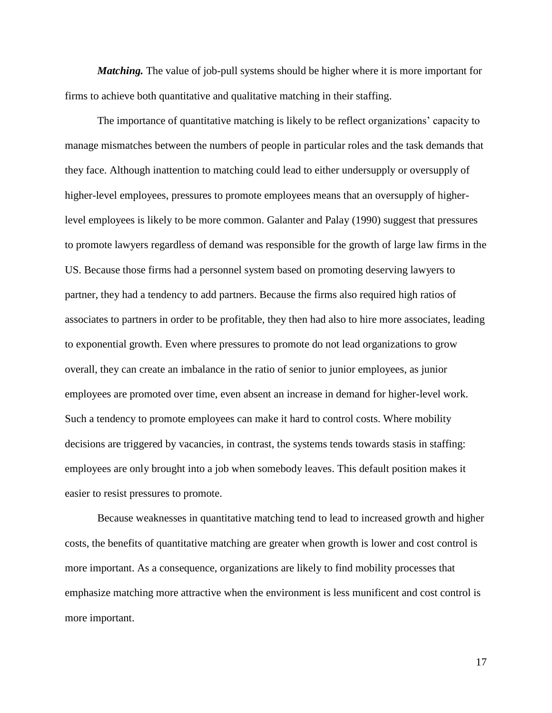*Matching.* The value of job-pull systems should be higher where it is more important for firms to achieve both quantitative and qualitative matching in their staffing.

The importance of quantitative matching is likely to be reflect organizations' capacity to manage mismatches between the numbers of people in particular roles and the task demands that they face. Although inattention to matching could lead to either undersupply or oversupply of higher-level employees, pressures to promote employees means that an oversupply of higherlevel employees is likely to be more common. Galanter and Palay (1990) suggest that pressures to promote lawyers regardless of demand was responsible for the growth of large law firms in the US. Because those firms had a personnel system based on promoting deserving lawyers to partner, they had a tendency to add partners. Because the firms also required high ratios of associates to partners in order to be profitable, they then had also to hire more associates, leading to exponential growth. Even where pressures to promote do not lead organizations to grow overall, they can create an imbalance in the ratio of senior to junior employees, as junior employees are promoted over time, even absent an increase in demand for higher-level work. Such a tendency to promote employees can make it hard to control costs. Where mobility decisions are triggered by vacancies, in contrast, the systems tends towards stasis in staffing: employees are only brought into a job when somebody leaves. This default position makes it easier to resist pressures to promote.

Because weaknesses in quantitative matching tend to lead to increased growth and higher costs, the benefits of quantitative matching are greater when growth is lower and cost control is more important. As a consequence, organizations are likely to find mobility processes that emphasize matching more attractive when the environment is less munificent and cost control is more important.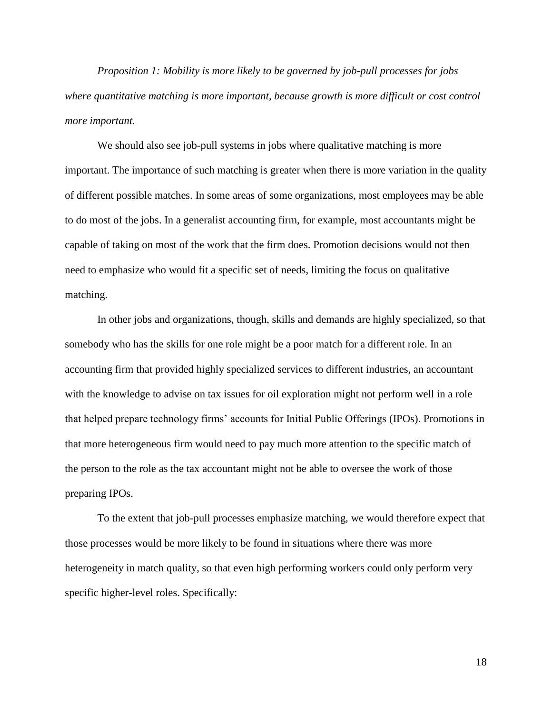*Proposition 1: Mobility is more likely to be governed by job-pull processes for jobs where quantitative matching is more important, because growth is more difficult or cost control more important.*

We should also see job-pull systems in jobs where qualitative matching is more important. The importance of such matching is greater when there is more variation in the quality of different possible matches. In some areas of some organizations, most employees may be able to do most of the jobs. In a generalist accounting firm, for example, most accountants might be capable of taking on most of the work that the firm does. Promotion decisions would not then need to emphasize who would fit a specific set of needs, limiting the focus on qualitative matching.

In other jobs and organizations, though, skills and demands are highly specialized, so that somebody who has the skills for one role might be a poor match for a different role. In an accounting firm that provided highly specialized services to different industries, an accountant with the knowledge to advise on tax issues for oil exploration might not perform well in a role that helped prepare technology firms' accounts for Initial Public Offerings (IPOs). Promotions in that more heterogeneous firm would need to pay much more attention to the specific match of the person to the role as the tax accountant might not be able to oversee the work of those preparing IPOs.

To the extent that job-pull processes emphasize matching, we would therefore expect that those processes would be more likely to be found in situations where there was more heterogeneity in match quality, so that even high performing workers could only perform very specific higher-level roles. Specifically: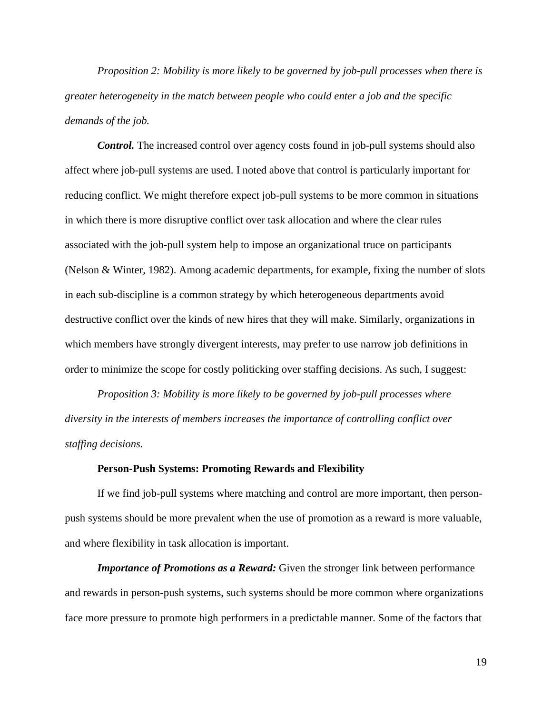*Proposition 2: Mobility is more likely to be governed by job-pull processes when there is greater heterogeneity in the match between people who could enter a job and the specific demands of the job.*

*Control.* The increased control over agency costs found in job-pull systems should also affect where job-pull systems are used. I noted above that control is particularly important for reducing conflict. We might therefore expect job-pull systems to be more common in situations in which there is more disruptive conflict over task allocation and where the clear rules associated with the job-pull system help to impose an organizational truce on participants (Nelson & Winter, 1982). Among academic departments, for example, fixing the number of slots in each sub-discipline is a common strategy by which heterogeneous departments avoid destructive conflict over the kinds of new hires that they will make. Similarly, organizations in which members have strongly divergent interests, may prefer to use narrow job definitions in order to minimize the scope for costly politicking over staffing decisions. As such, I suggest:

*Proposition 3: Mobility is more likely to be governed by job-pull processes where diversity in the interests of members increases the importance of controlling conflict over staffing decisions.*

# **Person-Push Systems: Promoting Rewards and Flexibility**

If we find job-pull systems where matching and control are more important, then personpush systems should be more prevalent when the use of promotion as a reward is more valuable, and where flexibility in task allocation is important.

*Importance of Promotions as a Reward:* Given the stronger link between performance and rewards in person-push systems, such systems should be more common where organizations face more pressure to promote high performers in a predictable manner. Some of the factors that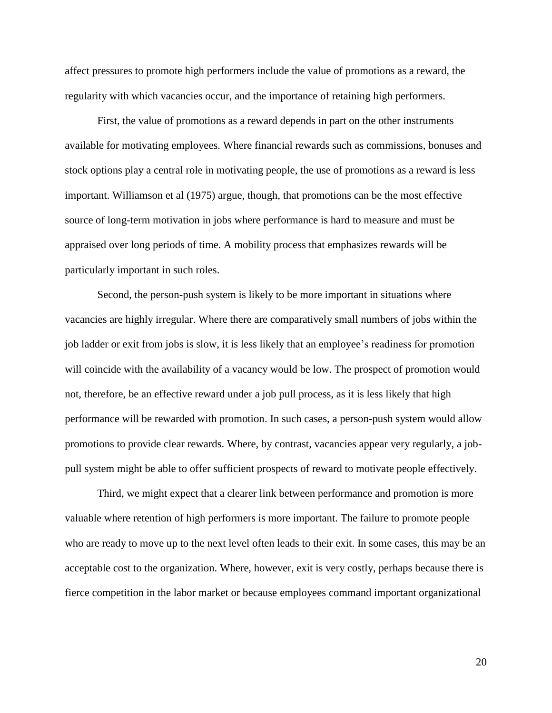affect pressures to promote high performers include the value of promotions as a reward, the regularity with which vacancies occur, and the importance of retaining high performers.

First, the value of promotions as a reward depends in part on the other instruments available for motivating employees. Where financial rewards such as commissions, bonuses and stock options play a central role in motivating people, the use of promotions as a reward is less important. Williamson et al (1975) argue, though, that promotions can be the most effective source of long-term motivation in jobs where performance is hard to measure and must be appraised over long periods of time. A mobility process that emphasizes rewards will be particularly important in such roles.

Second, the person-push system is likely to be more important in situations where vacancies are highly irregular. Where there are comparatively small numbers of jobs within the job ladder or exit from jobs is slow, it is less likely that an employee's readiness for promotion will coincide with the availability of a vacancy would be low. The prospect of promotion would not, therefore, be an effective reward under a job pull process, as it is less likely that high performance will be rewarded with promotion. In such cases, a person-push system would allow promotions to provide clear rewards. Where, by contrast, vacancies appear very regularly, a jobpull system might be able to offer sufficient prospects of reward to motivate people effectively.

Third, we might expect that a clearer link between performance and promotion is more valuable where retention of high performers is more important. The failure to promote people who are ready to move up to the next level often leads to their exit. In some cases, this may be an acceptable cost to the organization. Where, however, exit is very costly, perhaps because there is fierce competition in the labor market or because employees command important organizational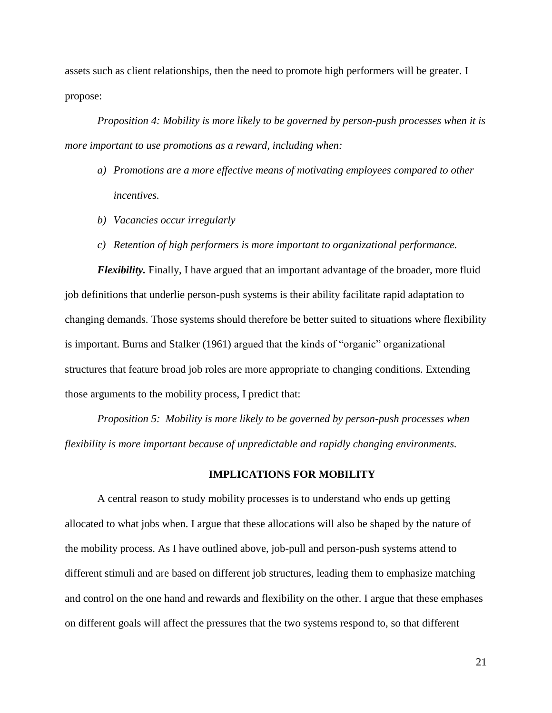assets such as client relationships, then the need to promote high performers will be greater. I propose:

*Proposition 4: Mobility is more likely to be governed by person-push processes when it is more important to use promotions as a reward, including when:*

- *a) Promotions are a more effective means of motivating employees compared to other incentives.*
- *b) Vacancies occur irregularly*
- *c) Retention of high performers is more important to organizational performance.*

*Flexibility.* Finally, I have argued that an important advantage of the broader, more fluid job definitions that underlie person-push systems is their ability facilitate rapid adaptation to changing demands. Those systems should therefore be better suited to situations where flexibility is important. Burns and Stalker (1961) argued that the kinds of "organic" organizational structures that feature broad job roles are more appropriate to changing conditions. Extending those arguments to the mobility process, I predict that:

*Proposition 5: Mobility is more likely to be governed by person-push processes when flexibility is more important because of unpredictable and rapidly changing environments.*

### **IMPLICATIONS FOR MOBILITY**

A central reason to study mobility processes is to understand who ends up getting allocated to what jobs when. I argue that these allocations will also be shaped by the nature of the mobility process. As I have outlined above, job-pull and person-push systems attend to different stimuli and are based on different job structures, leading them to emphasize matching and control on the one hand and rewards and flexibility on the other. I argue that these emphases on different goals will affect the pressures that the two systems respond to, so that different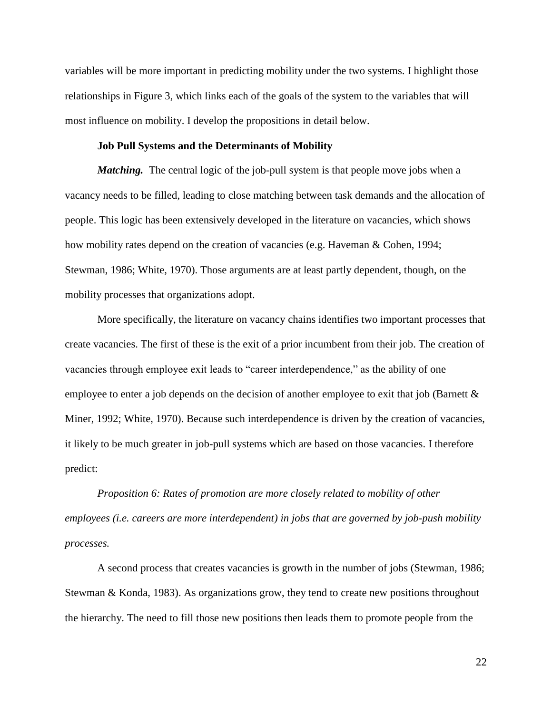variables will be more important in predicting mobility under the two systems. I highlight those relationships in Figure 3, which links each of the goals of the system to the variables that will most influence on mobility. I develop the propositions in detail below.

### **Job Pull Systems and the Determinants of Mobility**

*Matching.* The central logic of the job-pull system is that people move jobs when a vacancy needs to be filled, leading to close matching between task demands and the allocation of people. This logic has been extensively developed in the literature on vacancies, which shows how mobility rates depend on the creation of vacancies (e.g. Haveman & Cohen, 1994; Stewman, 1986; White, 1970). Those arguments are at least partly dependent, though, on the mobility processes that organizations adopt.

More specifically, the literature on vacancy chains identifies two important processes that create vacancies. The first of these is the exit of a prior incumbent from their job. The creation of vacancies through employee exit leads to "career interdependence," as the ability of one employee to enter a job depends on the decision of another employee to exit that job (Barnett  $\&$ Miner, 1992; White, 1970). Because such interdependence is driven by the creation of vacancies, it likely to be much greater in job-pull systems which are based on those vacancies. I therefore predict:

*Proposition 6: Rates of promotion are more closely related to mobility of other employees (i.e. careers are more interdependent) in jobs that are governed by job-push mobility processes.*

A second process that creates vacancies is growth in the number of jobs (Stewman, 1986; Stewman & Konda, 1983). As organizations grow, they tend to create new positions throughout the hierarchy. The need to fill those new positions then leads them to promote people from the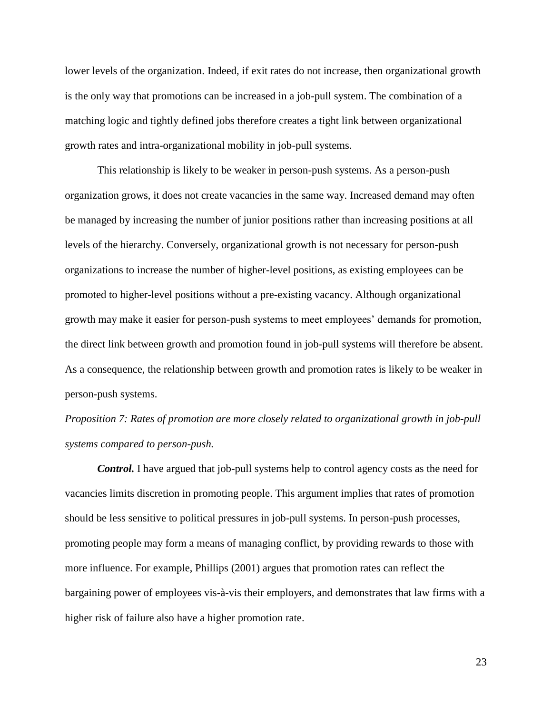lower levels of the organization. Indeed, if exit rates do not increase, then organizational growth is the only way that promotions can be increased in a job-pull system. The combination of a matching logic and tightly defined jobs therefore creates a tight link between organizational growth rates and intra-organizational mobility in job-pull systems.

This relationship is likely to be weaker in person-push systems. As a person-push organization grows, it does not create vacancies in the same way. Increased demand may often be managed by increasing the number of junior positions rather than increasing positions at all levels of the hierarchy. Conversely, organizational growth is not necessary for person-push organizations to increase the number of higher-level positions, as existing employees can be promoted to higher-level positions without a pre-existing vacancy. Although organizational growth may make it easier for person-push systems to meet employees' demands for promotion, the direct link between growth and promotion found in job-pull systems will therefore be absent. As a consequence, the relationship between growth and promotion rates is likely to be weaker in person-push systems.

*Proposition 7: Rates of promotion are more closely related to organizational growth in job-pull systems compared to person-push.*

*Control.* I have argued that job-pull systems help to control agency costs as the need for vacancies limits discretion in promoting people. This argument implies that rates of promotion should be less sensitive to political pressures in job-pull systems. In person-push processes, promoting people may form a means of managing conflict, by providing rewards to those with more influence. For example, Phillips (2001) argues that promotion rates can reflect the bargaining power of employees vis-à-vis their employers, and demonstrates that law firms with a higher risk of failure also have a higher promotion rate.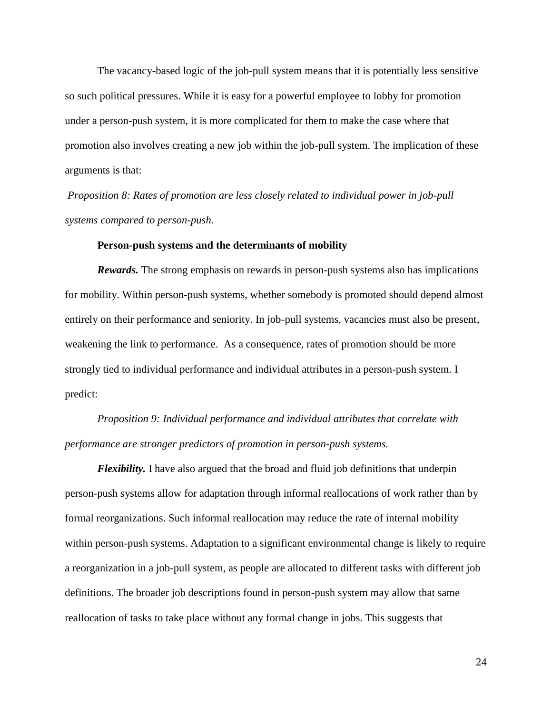The vacancy-based logic of the job-pull system means that it is potentially less sensitive so such political pressures. While it is easy for a powerful employee to lobby for promotion under a person-push system, it is more complicated for them to make the case where that promotion also involves creating a new job within the job-pull system. The implication of these arguments is that:

*Proposition 8: Rates of promotion are less closely related to individual power in job-pull systems compared to person-push.*

#### **Person-push systems and the determinants of mobility**

*Rewards.* The strong emphasis on rewards in person-push systems also has implications for mobility. Within person-push systems, whether somebody is promoted should depend almost entirely on their performance and seniority. In job-pull systems, vacancies must also be present, weakening the link to performance. As a consequence, rates of promotion should be more strongly tied to individual performance and individual attributes in a person-push system. I predict:

*Proposition 9: Individual performance and individual attributes that correlate with performance are stronger predictors of promotion in person-push systems.*

*Flexibility.* I have also argued that the broad and fluid job definitions that underpin person-push systems allow for adaptation through informal reallocations of work rather than by formal reorganizations. Such informal reallocation may reduce the rate of internal mobility within person-push systems. Adaptation to a significant environmental change is likely to require a reorganization in a job-pull system, as people are allocated to different tasks with different job definitions. The broader job descriptions found in person-push system may allow that same reallocation of tasks to take place without any formal change in jobs. This suggests that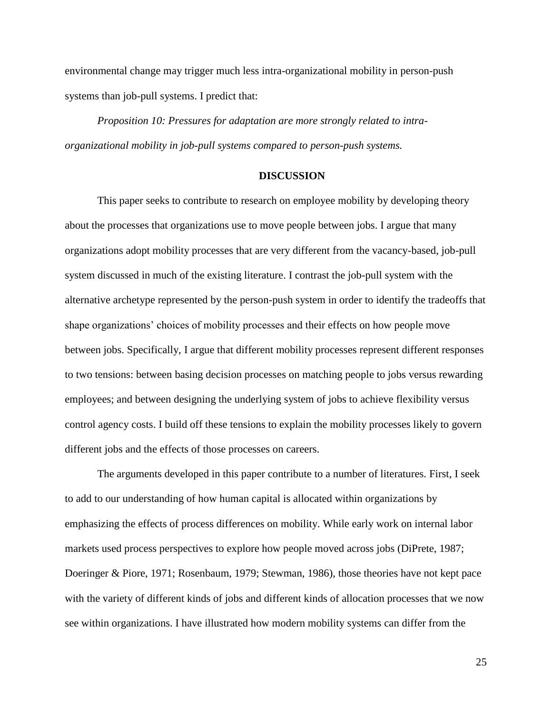environmental change may trigger much less intra-organizational mobility in person-push systems than job-pull systems. I predict that:

*Proposition 10: Pressures for adaptation are more strongly related to intraorganizational mobility in job-pull systems compared to person-push systems.* 

#### **DISCUSSION**

This paper seeks to contribute to research on employee mobility by developing theory about the processes that organizations use to move people between jobs. I argue that many organizations adopt mobility processes that are very different from the vacancy-based, job-pull system discussed in much of the existing literature. I contrast the job-pull system with the alternative archetype represented by the person-push system in order to identify the tradeoffs that shape organizations' choices of mobility processes and their effects on how people move between jobs. Specifically, I argue that different mobility processes represent different responses to two tensions: between basing decision processes on matching people to jobs versus rewarding employees; and between designing the underlying system of jobs to achieve flexibility versus control agency costs. I build off these tensions to explain the mobility processes likely to govern different jobs and the effects of those processes on careers.

The arguments developed in this paper contribute to a number of literatures. First, I seek to add to our understanding of how human capital is allocated within organizations by emphasizing the effects of process differences on mobility. While early work on internal labor markets used process perspectives to explore how people moved across jobs (DiPrete, 1987; Doeringer & Piore, 1971; Rosenbaum, 1979; Stewman, 1986), those theories have not kept pace with the variety of different kinds of jobs and different kinds of allocation processes that we now see within organizations. I have illustrated how modern mobility systems can differ from the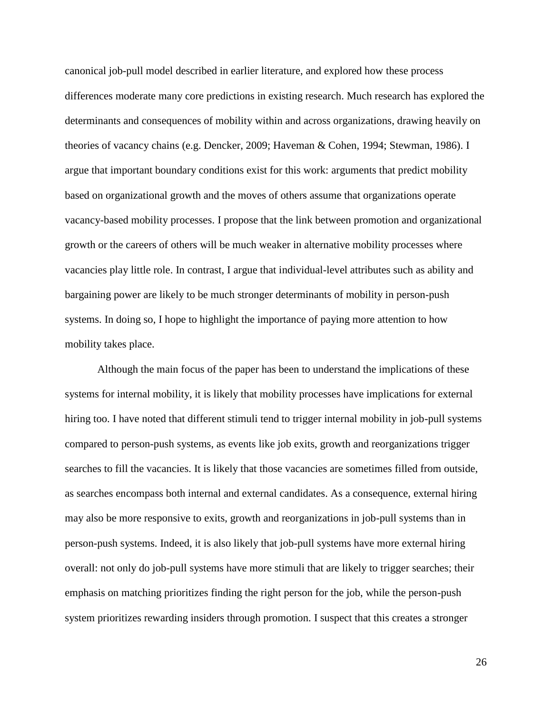canonical job-pull model described in earlier literature, and explored how these process differences moderate many core predictions in existing research. Much research has explored the determinants and consequences of mobility within and across organizations, drawing heavily on theories of vacancy chains (e.g. Dencker, 2009; Haveman & Cohen, 1994; Stewman, 1986). I argue that important boundary conditions exist for this work: arguments that predict mobility based on organizational growth and the moves of others assume that organizations operate vacancy-based mobility processes. I propose that the link between promotion and organizational growth or the careers of others will be much weaker in alternative mobility processes where vacancies play little role. In contrast, I argue that individual-level attributes such as ability and bargaining power are likely to be much stronger determinants of mobility in person-push systems. In doing so, I hope to highlight the importance of paying more attention to how mobility takes place.

Although the main focus of the paper has been to understand the implications of these systems for internal mobility, it is likely that mobility processes have implications for external hiring too. I have noted that different stimuli tend to trigger internal mobility in job-pull systems compared to person-push systems, as events like job exits, growth and reorganizations trigger searches to fill the vacancies. It is likely that those vacancies are sometimes filled from outside, as searches encompass both internal and external candidates. As a consequence, external hiring may also be more responsive to exits, growth and reorganizations in job-pull systems than in person-push systems. Indeed, it is also likely that job-pull systems have more external hiring overall: not only do job-pull systems have more stimuli that are likely to trigger searches; their emphasis on matching prioritizes finding the right person for the job, while the person-push system prioritizes rewarding insiders through promotion. I suspect that this creates a stronger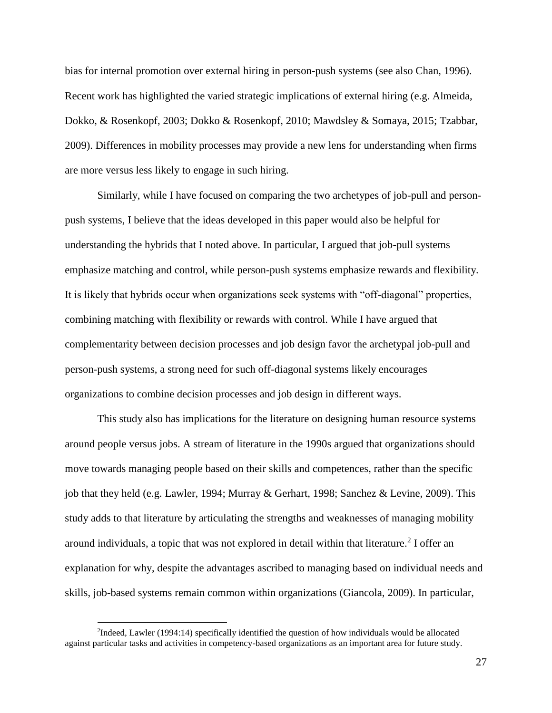bias for internal promotion over external hiring in person-push systems (see also Chan, 1996). Recent work has highlighted the varied strategic implications of external hiring (e.g. Almeida, Dokko, & Rosenkopf, 2003; Dokko & Rosenkopf, 2010; Mawdsley & Somaya, 2015; Tzabbar, 2009). Differences in mobility processes may provide a new lens for understanding when firms are more versus less likely to engage in such hiring.

Similarly, while I have focused on comparing the two archetypes of job-pull and personpush systems, I believe that the ideas developed in this paper would also be helpful for understanding the hybrids that I noted above. In particular, I argued that job-pull systems emphasize matching and control, while person-push systems emphasize rewards and flexibility. It is likely that hybrids occur when organizations seek systems with "off-diagonal" properties, combining matching with flexibility or rewards with control. While I have argued that complementarity between decision processes and job design favor the archetypal job-pull and person-push systems, a strong need for such off-diagonal systems likely encourages organizations to combine decision processes and job design in different ways.

This study also has implications for the literature on designing human resource systems around people versus jobs. A stream of literature in the 1990s argued that organizations should move towards managing people based on their skills and competences, rather than the specific job that they held (e.g. Lawler, 1994; Murray & Gerhart, 1998; Sanchez & Levine, 2009). This study adds to that literature by articulating the strengths and weaknesses of managing mobility around individuals, a topic that was not explored in detail within that literature.<sup>2</sup> I offer an explanation for why, despite the advantages ascribed to managing based on individual needs and skills, job-based systems remain common within organizations (Giancola, 2009). In particular,

 $\overline{a}$ 

<sup>2</sup> Indeed, Lawler (1994:14) specifically identified the question of how individuals would be allocated against particular tasks and activities in competency-based organizations as an important area for future study.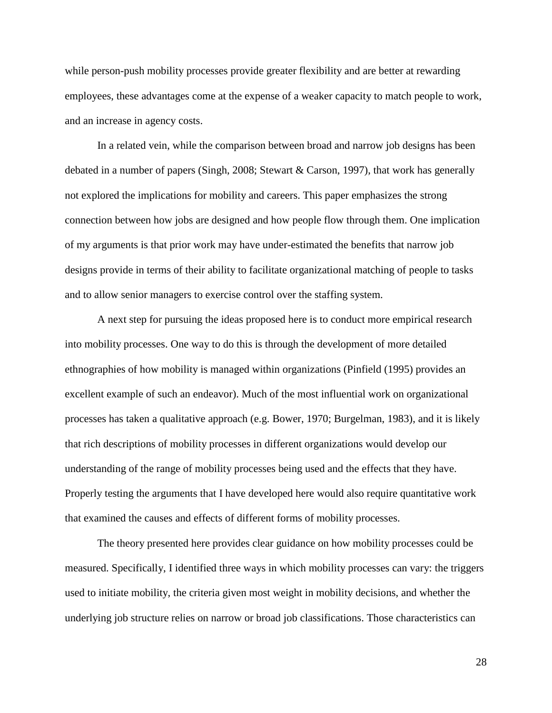while person-push mobility processes provide greater flexibility and are better at rewarding employees, these advantages come at the expense of a weaker capacity to match people to work, and an increase in agency costs.

In a related vein, while the comparison between broad and narrow job designs has been debated in a number of papers (Singh, 2008; Stewart & Carson, 1997), that work has generally not explored the implications for mobility and careers. This paper emphasizes the strong connection between how jobs are designed and how people flow through them. One implication of my arguments is that prior work may have under-estimated the benefits that narrow job designs provide in terms of their ability to facilitate organizational matching of people to tasks and to allow senior managers to exercise control over the staffing system.

A next step for pursuing the ideas proposed here is to conduct more empirical research into mobility processes. One way to do this is through the development of more detailed ethnographies of how mobility is managed within organizations (Pinfield (1995) provides an excellent example of such an endeavor). Much of the most influential work on organizational processes has taken a qualitative approach (e.g. Bower, 1970; Burgelman, 1983), and it is likely that rich descriptions of mobility processes in different organizations would develop our understanding of the range of mobility processes being used and the effects that they have. Properly testing the arguments that I have developed here would also require quantitative work that examined the causes and effects of different forms of mobility processes.

The theory presented here provides clear guidance on how mobility processes could be measured. Specifically, I identified three ways in which mobility processes can vary: the triggers used to initiate mobility, the criteria given most weight in mobility decisions, and whether the underlying job structure relies on narrow or broad job classifications. Those characteristics can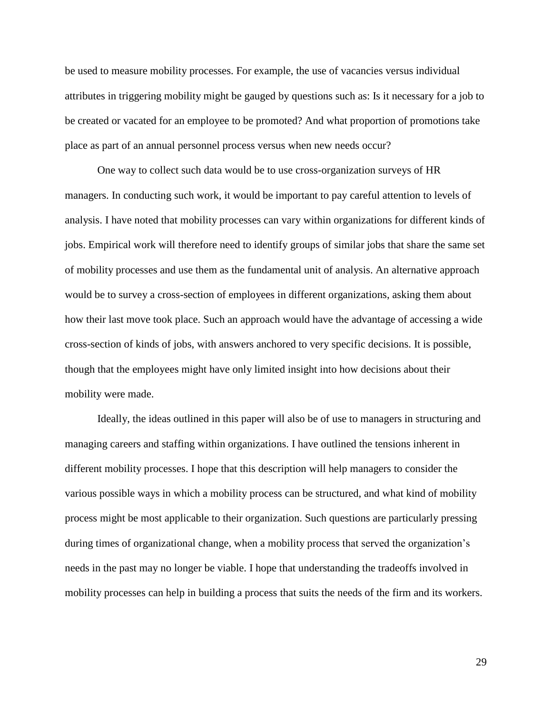be used to measure mobility processes. For example, the use of vacancies versus individual attributes in triggering mobility might be gauged by questions such as: Is it necessary for a job to be created or vacated for an employee to be promoted? And what proportion of promotions take place as part of an annual personnel process versus when new needs occur?

One way to collect such data would be to use cross-organization surveys of HR managers. In conducting such work, it would be important to pay careful attention to levels of analysis. I have noted that mobility processes can vary within organizations for different kinds of jobs. Empirical work will therefore need to identify groups of similar jobs that share the same set of mobility processes and use them as the fundamental unit of analysis. An alternative approach would be to survey a cross-section of employees in different organizations, asking them about how their last move took place. Such an approach would have the advantage of accessing a wide cross-section of kinds of jobs, with answers anchored to very specific decisions. It is possible, though that the employees might have only limited insight into how decisions about their mobility were made.

Ideally, the ideas outlined in this paper will also be of use to managers in structuring and managing careers and staffing within organizations. I have outlined the tensions inherent in different mobility processes. I hope that this description will help managers to consider the various possible ways in which a mobility process can be structured, and what kind of mobility process might be most applicable to their organization. Such questions are particularly pressing during times of organizational change, when a mobility process that served the organization's needs in the past may no longer be viable. I hope that understanding the tradeoffs involved in mobility processes can help in building a process that suits the needs of the firm and its workers.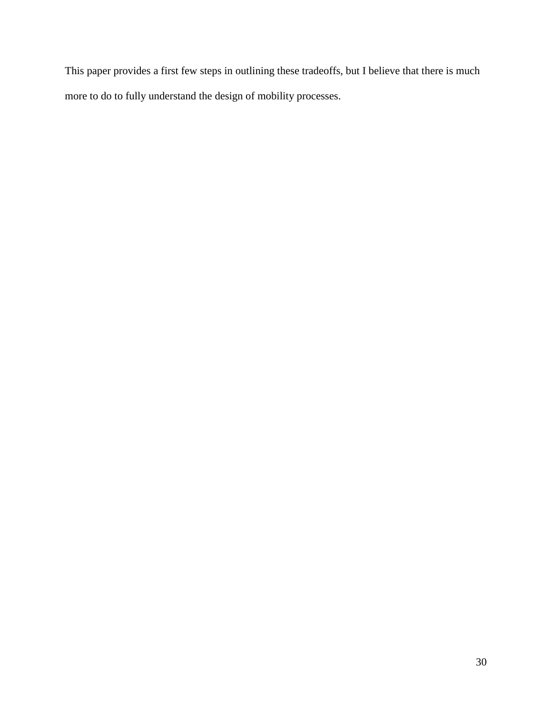This paper provides a first few steps in outlining these tradeoffs, but I believe that there is much more to do to fully understand the design of mobility processes.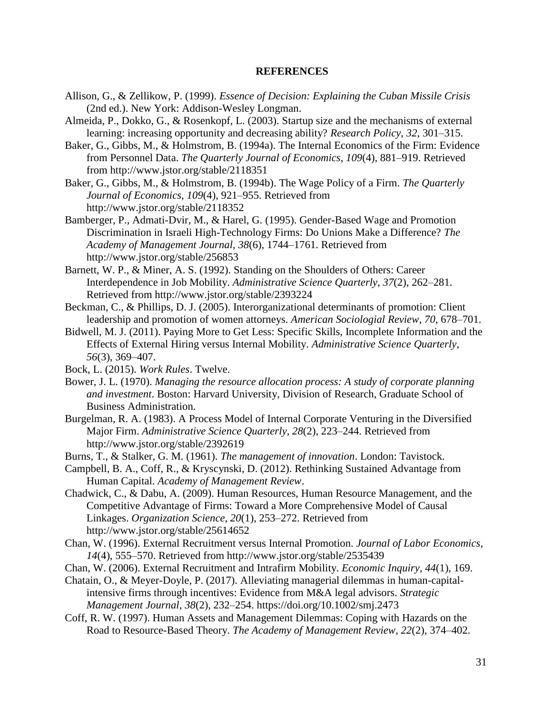#### **REFERENCES**

- Allison, G., & Zellikow, P. (1999). *Essence of Decision: Explaining the Cuban Missile Crisis* (2nd ed.). New York: Addison-Wesley Longman.
- Almeida, P., Dokko, G., & Rosenkopf, L. (2003). Startup size and the mechanisms of external learning: increasing opportunity and decreasing ability? *Research Policy*, *32*, 301–315.
- Baker, G., Gibbs, M., & Holmstrom, B. (1994a). The Internal Economics of the Firm: Evidence from Personnel Data. *The Quarterly Journal of Economics*, *109*(4), 881–919. Retrieved from http://www.jstor.org/stable/2118351
- Baker, G., Gibbs, M., & Holmstrom, B. (1994b). The Wage Policy of a Firm. *The Quarterly Journal of Economics*, *109*(4), 921–955. Retrieved from http://www.jstor.org/stable/2118352
- Bamberger, P., Admati-Dvir, M., & Harel, G. (1995). Gender-Based Wage and Promotion Discrimination in Israeli High-Technology Firms: Do Unions Make a Difference? *The Academy of Management Journal*, *38*(6), 1744–1761. Retrieved from http://www.jstor.org/stable/256853
- Barnett, W. P., & Miner, A. S. (1992). Standing on the Shoulders of Others: Career Interdependence in Job Mobility. *Administrative Science Quarterly*, *37*(2), 262–281. Retrieved from http://www.jstor.org/stable/2393224
- Beckman, C., & Phillips, D. J. (2005). Interorganizational determinants of promotion: Client leadership and promotion of women attorneys. *American Sociologial Review*, *70*, 678–701.
- Bidwell, M. J. (2011). Paying More to Get Less: Specific Skills, Incomplete Information and the Effects of External Hiring versus Internal Mobility. *Administrative Science Quarterly*, *56*(3), 369–407.
- Bock, L. (2015). *Work Rules*. Twelve.
- Bower, J. L. (1970). *Managing the resource allocation process: A study of corporate planning and investment*. Boston: Harvard University, Division of Research, Graduate School of Business Administration.
- Burgelman, R. A. (1983). A Process Model of Internal Corporate Venturing in the Diversified Major Firm. *Administrative Science Quarterly*, *28*(2), 223–244. Retrieved from http://www.jstor.org/stable/2392619
- Burns, T., & Stalker, G. M. (1961). *The management of innovation*. London: Tavistock.
- Campbell, B. A., Coff, R., & Kryscynski, D. (2012). Rethinking Sustained Advantage from Human Capital. *Academy of Management Review*.
- Chadwick, C., & Dabu, A. (2009). Human Resources, Human Resource Management, and the Competitive Advantage of Firms: Toward a More Comprehensive Model of Causal Linkages. *Organization Science*, *20*(1), 253–272. Retrieved from http://www.jstor.org/stable/25614652
- Chan, W. (1996). External Recruitment versus Internal Promotion. *Journal of Labor Economics*, *14*(4), 555–570. Retrieved from http://www.jstor.org/stable/2535439
- Chan, W. (2006). External Recruitment and Intrafirm Mobility. *Economic Inquiry*, *44*(1), 169.

Chatain, O., & Meyer-Doyle, P. (2017). Alleviating managerial dilemmas in human-capitalintensive firms through incentives: Evidence from M&A legal advisors. *Strategic Management Journal*, *38*(2), 232–254. https://doi.org/10.1002/smj.2473

Coff, R. W. (1997). Human Assets and Management Dilemmas: Coping with Hazards on the Road to Resource-Based Theory. *The Academy of Management Review*, *22*(2), 374–402.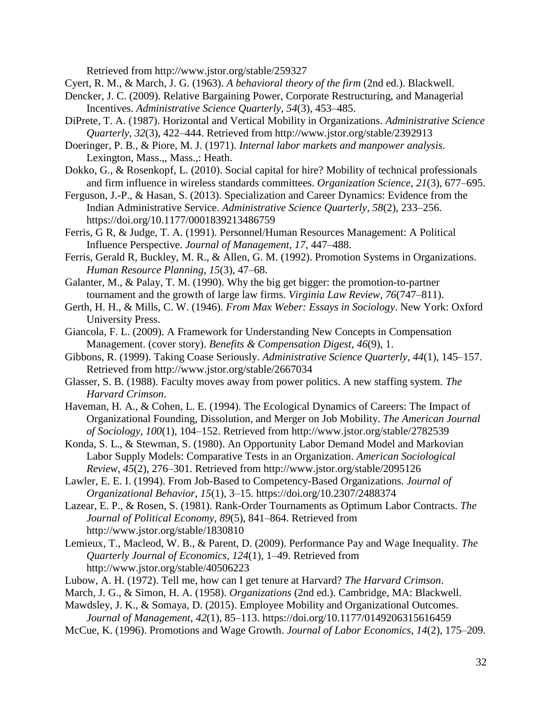Retrieved from http://www.jstor.org/stable/259327

Cyert, R. M., & March, J. G. (1963). *A behavioral theory of the firm* (2nd ed.). Blackwell.

- Dencker, J. C. (2009). Relative Bargaining Power, Corporate Restructuring, and Managerial Incentives. *Administrative Science Quarterly*, *54*(3), 453–485.
- DiPrete, T. A. (1987). Horizontal and Vertical Mobility in Organizations. *Administrative Science Quarterly*, *32*(3), 422–444. Retrieved from http://www.jstor.org/stable/2392913
- Doeringer, P. B., & Piore, M. J. (1971). *Internal labor markets and manpower analysis*. Lexington, Mass.,, Mass.,: Heath.
- Dokko, G., & Rosenkopf, L. (2010). Social capital for hire? Mobility of technical professionals and firm influence in wireless standards committees. *Organization Science*, *21*(3), 677–695.
- Ferguson, J.-P., & Hasan, S. (2013). Specialization and Career Dynamics: Evidence from the Indian Administrative Service. *Administrative Science Quarterly*, *58*(2), 233–256. https://doi.org/10.1177/0001839213486759
- Ferris, G R, & Judge, T. A. (1991). Personnel/Human Resources Management: A Political Influence Perspective. *Journal of Management*, *17*, 447–488.
- Ferris, Gerald R, Buckley, M. R., & Allen, G. M. (1992). Promotion Systems in Organizations. *Human Resource Planning*, *15*(3), 47–68.
- Galanter, M., & Palay, T. M. (1990). Why the big get bigger: the promotion-to-partner tournament and the growth of large law firms. *Virginia Law Review*, *76*(747–811).
- Gerth, H. H., & Mills, C. W. (1946). *From Max Weber: Essays in Sociology*. New York: Oxford University Press.
- Giancola, F. L. (2009). A Framework for Understanding New Concepts in Compensation Management. (cover story). *Benefits & Compensation Digest*, *46*(9), 1.
- Gibbons, R. (1999). Taking Coase Seriously. *Administrative Science Quarterly*, *44*(1), 145–157. Retrieved from http://www.jstor.org/stable/2667034
- Glasser, S. B. (1988). Faculty moves away from power politics. A new staffing system. *The Harvard Crimson*.
- Haveman, H. A., & Cohen, L. E. (1994). The Ecological Dynamics of Careers: The Impact of Organizational Founding, Dissolution, and Merger on Job Mobility. *The American Journal of Sociology*, *100*(1), 104–152. Retrieved from http://www.jstor.org/stable/2782539
- Konda, S. L., & Stewman, S. (1980). An Opportunity Labor Demand Model and Markovian Labor Supply Models: Comparative Tests in an Organization. *American Sociological Review*, *45*(2), 276–301. Retrieved from http://www.jstor.org/stable/2095126
- Lawler, E. E. I. (1994). From Job-Based to Competency-Based Organizations. *Journal of Organizational Behavior*, *15*(1), 3–15. https://doi.org/10.2307/2488374
- Lazear, E. P., & Rosen, S. (1981). Rank-Order Tournaments as Optimum Labor Contracts. *The Journal of Political Economy*, *89*(5), 841–864. Retrieved from http://www.jstor.org/stable/1830810
- Lemieux, T., Macleod, W. B., & Parent, D. (2009). Performance Pay and Wage Inequality. *The Quarterly Journal of Economics*, *124*(1), 1–49. Retrieved from http://www.jstor.org/stable/40506223
- Lubow, A. H. (1972). Tell me, how can I get tenure at Harvard? *The Harvard Crimson*.
- March, J. G., & Simon, H. A. (1958). *Organizations* (2nd ed.). Cambridge, MA: Blackwell.
- Mawdsley, J. K., & Somaya, D. (2015). Employee Mobility and Organizational Outcomes. *Journal of Management*, *42*(1), 85–113. https://doi.org/10.1177/0149206315616459
- McCue, K. (1996). Promotions and Wage Growth. *Journal of Labor Economics*, *14*(2), 175–209.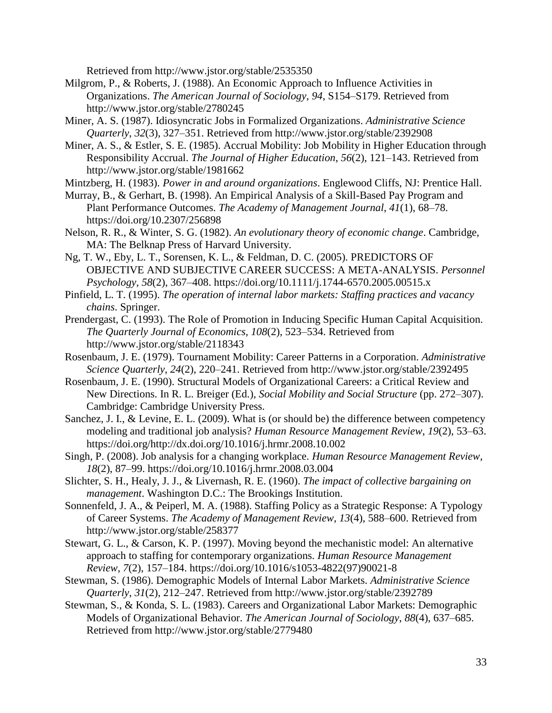Retrieved from http://www.jstor.org/stable/2535350

- Milgrom, P., & Roberts, J. (1988). An Economic Approach to Influence Activities in Organizations. *The American Journal of Sociology*, *94*, S154–S179. Retrieved from http://www.jstor.org/stable/2780245
- Miner, A. S. (1987). Idiosyncratic Jobs in Formalized Organizations. *Administrative Science Quarterly*, *32*(3), 327–351. Retrieved from http://www.jstor.org/stable/2392908
- Miner, A. S., & Estler, S. E. (1985). Accrual Mobility: Job Mobility in Higher Education through Responsibility Accrual. *The Journal of Higher Education*, *56*(2), 121–143. Retrieved from http://www.jstor.org/stable/1981662

Mintzberg, H. (1983). *Power in and around organizations*. Englewood Cliffs, NJ: Prentice Hall.

- Murray, B., & Gerhart, B. (1998). An Empirical Analysis of a Skill-Based Pay Program and Plant Performance Outcomes. *The Academy of Management Journal*, *41*(1), 68–78. https://doi.org/10.2307/256898
- Nelson, R. R., & Winter, S. G. (1982). *An evolutionary theory of economic change*. Cambridge, MA: The Belknap Press of Harvard University.
- Ng, T. W., Eby, L. T., Sorensen, K. L., & Feldman, D. C. (2005). PREDICTORS OF OBJECTIVE AND SUBJECTIVE CAREER SUCCESS: A META-ANALYSIS. *Personnel Psychology*, *58*(2), 367–408. https://doi.org/10.1111/j.1744-6570.2005.00515.x
- Pinfield, L. T. (1995). *The operation of internal labor markets: Staffing practices and vacancy chains*. Springer.
- Prendergast, C. (1993). The Role of Promotion in Inducing Specific Human Capital Acquisition. *The Quarterly Journal of Economics*, *108*(2), 523–534. Retrieved from http://www.jstor.org/stable/2118343
- Rosenbaum, J. E. (1979). Tournament Mobility: Career Patterns in a Corporation. *Administrative Science Quarterly*, *24*(2), 220–241. Retrieved from http://www.jstor.org/stable/2392495
- Rosenbaum, J. E. (1990). Structural Models of Organizational Careers: a Critical Review and New Directions. In R. L. Breiger (Ed.), *Social Mobility and Social Structure* (pp. 272–307). Cambridge: Cambridge University Press.
- Sanchez, J. I., & Levine, E. L. (2009). What is (or should be) the difference between competency modeling and traditional job analysis? *Human Resource Management Review*, *19*(2), 53–63. https://doi.org/http://dx.doi.org/10.1016/j.hrmr.2008.10.002
- Singh, P. (2008). Job analysis for a changing workplace. *Human Resource Management Review*, *18*(2), 87–99. https://doi.org/10.1016/j.hrmr.2008.03.004
- Slichter, S. H., Healy, J. J., & Livernash, R. E. (1960). *The impact of collective bargaining on management*. Washington D.C.: The Brookings Institution.
- Sonnenfeld, J. A., & Peiperl, M. A. (1988). Staffing Policy as a Strategic Response: A Typology of Career Systems. *The Academy of Management Review*, *13*(4), 588–600. Retrieved from http://www.jstor.org/stable/258377
- Stewart, G. L., & Carson, K. P. (1997). Moving beyond the mechanistic model: An alternative approach to staffing for contemporary organizations. *Human Resource Management Review*, *7*(2), 157–184. https://doi.org/10.1016/s1053-4822(97)90021-8
- Stewman, S. (1986). Demographic Models of Internal Labor Markets. *Administrative Science Quarterly*, *31*(2), 212–247. Retrieved from http://www.jstor.org/stable/2392789
- Stewman, S., & Konda, S. L. (1983). Careers and Organizational Labor Markets: Demographic Models of Organizational Behavior. *The American Journal of Sociology*, *88*(4), 637–685. Retrieved from http://www.jstor.org/stable/2779480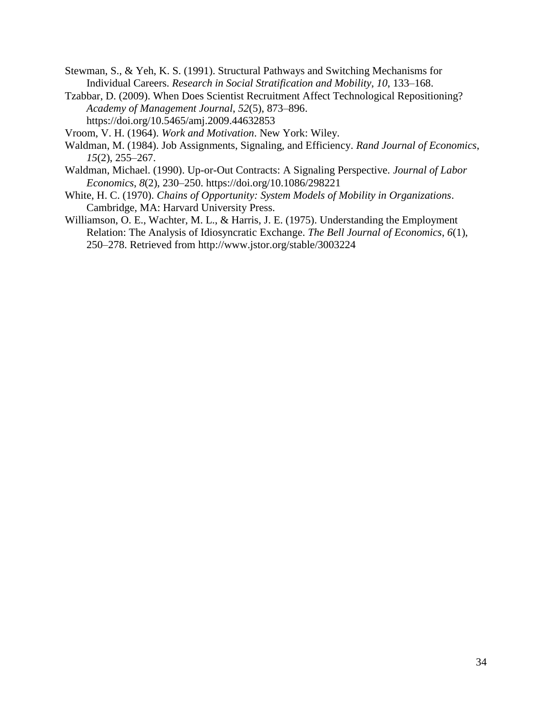- Stewman, S., & Yeh, K. S. (1991). Structural Pathways and Switching Mechanisms for Individual Careers. *Research in Social Stratification and Mobility*, *10*, 133–168.
- Tzabbar, D. (2009). When Does Scientist Recruitment Affect Technological Repositioning? *Academy of Management Journal*, *52*(5), 873–896. https://doi.org/10.5465/amj.2009.44632853
- Vroom, V. H. (1964). *Work and Motivation*. New York: Wiley.
- Waldman, M. (1984). Job Assignments, Signaling, and Efficiency. *Rand Journal of Economics*, *15*(2), 255–267.
- Waldman, Michael. (1990). Up-or-Out Contracts: A Signaling Perspective. *Journal of Labor Economics*, *8*(2), 230–250. https://doi.org/10.1086/298221
- White, H. C. (1970). *Chains of Opportunity: System Models of Mobility in Organizations*. Cambridge, MA: Harvard University Press.
- Williamson, O. E., Wachter, M. L., & Harris, J. E. (1975). Understanding the Employment Relation: The Analysis of Idiosyncratic Exchange. *The Bell Journal of Economics*, *6*(1), 250–278. Retrieved from http://www.jstor.org/stable/3003224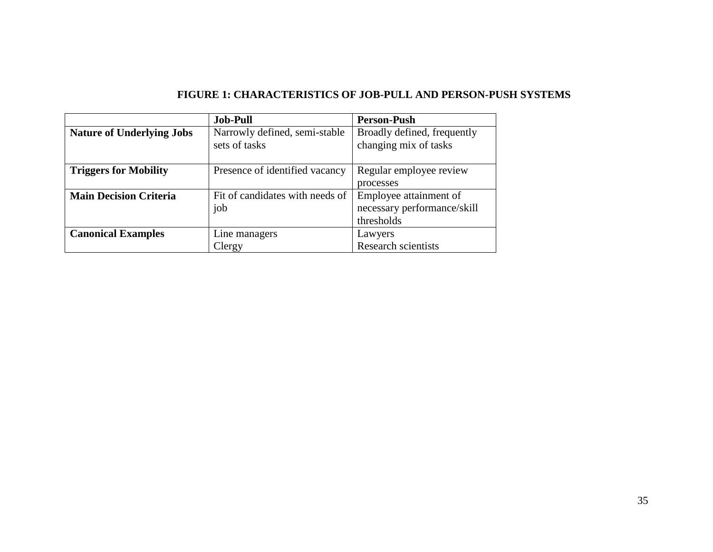# **FIGURE 1: CHARACTERISTICS OF JOB-PULL AND PERSON-PUSH SYSTEMS**

|                                  | <b>Job-Pull</b>                                | <b>Person-Push</b>                                   |
|----------------------------------|------------------------------------------------|------------------------------------------------------|
| <b>Nature of Underlying Jobs</b> | Narrowly defined, semi-stable<br>sets of tasks | Broadly defined, frequently<br>changing mix of tasks |
| <b>Triggers for Mobility</b>     | Presence of identified vacancy                 | Regular employee review                              |
|                                  |                                                | processes                                            |
| <b>Main Decision Criteria</b>    | Fit of candidates with needs of                | Employee attainment of                               |
|                                  | job                                            | necessary performance/skill                          |
|                                  |                                                | thresholds                                           |
| <b>Canonical Examples</b>        | Line managers                                  | Lawyers                                              |
|                                  | Clergy                                         | Research scientists                                  |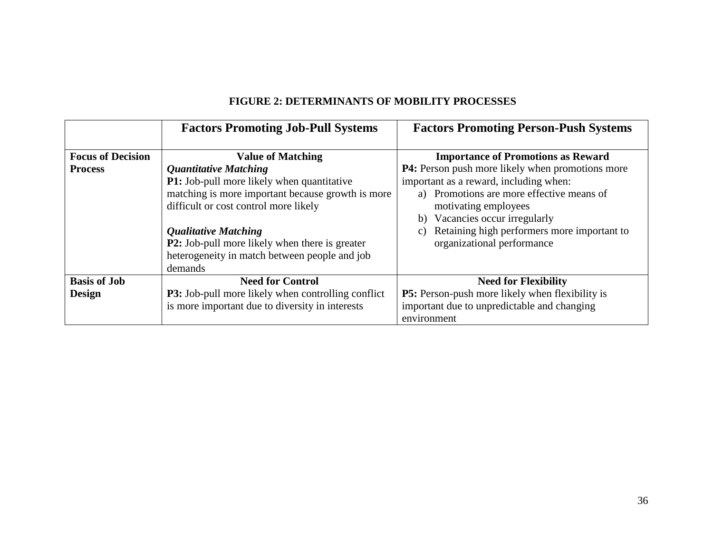|                          | <b>Factors Promoting Job-Pull Systems</b>                                                                                                                                                                                                                                                                                           | <b>Factors Promoting Person-Push Systems</b>                                                                                                                                                                                                                                                             |
|--------------------------|-------------------------------------------------------------------------------------------------------------------------------------------------------------------------------------------------------------------------------------------------------------------------------------------------------------------------------------|----------------------------------------------------------------------------------------------------------------------------------------------------------------------------------------------------------------------------------------------------------------------------------------------------------|
| <b>Focus of Decision</b> | <b>Value of Matching</b>                                                                                                                                                                                                                                                                                                            | <b>Importance of Promotions as Reward</b>                                                                                                                                                                                                                                                                |
| <b>Process</b>           | <b>Quantitative Matching</b><br><b>P1:</b> Job-pull more likely when quantitative<br>matching is more important because growth is more<br>difficult or cost control more likely<br><b>Qualitative Matching</b><br><b>P2:</b> Job-pull more likely when there is greater<br>heterogeneity in match between people and job<br>demands | <b>P4:</b> Person push more likely when promotions more<br>important as a reward, including when:<br>a) Promotions are more effective means of<br>motivating employees<br>b) Vacancies occur irregularly<br>Retaining high performers more important to<br>$\mathcal{C}$ )<br>organizational performance |
| <b>Basis of Job</b>      | <b>Need for Control</b>                                                                                                                                                                                                                                                                                                             | <b>Need for Flexibility</b>                                                                                                                                                                                                                                                                              |
| <b>Design</b>            | <b>P3:</b> Job-pull more likely when controlling conflict                                                                                                                                                                                                                                                                           | <b>P5:</b> Person-push more likely when flexibility is                                                                                                                                                                                                                                                   |
|                          | is more important due to diversity in interests                                                                                                                                                                                                                                                                                     | important due to unpredictable and changing<br>environment                                                                                                                                                                                                                                               |

# **FIGURE 2: DETERMINANTS OF MOBILITY PROCESSES**